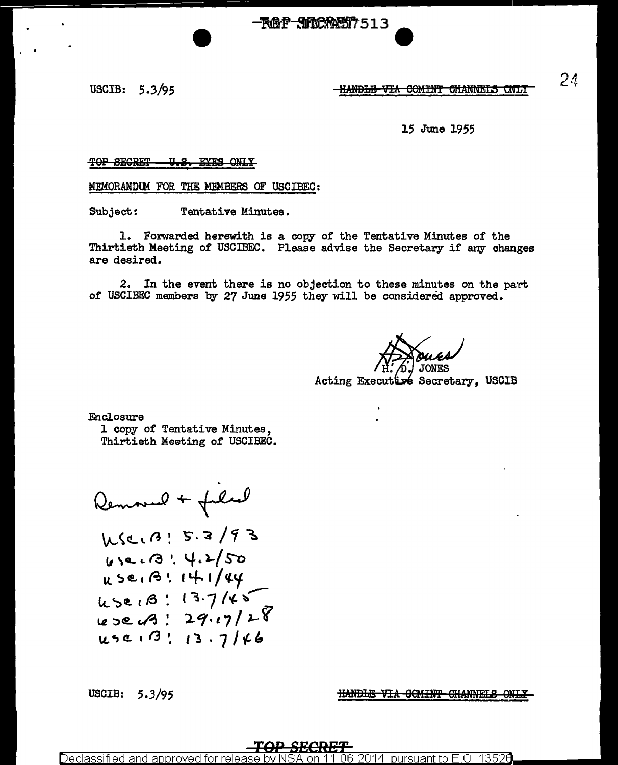<del>-RAP SNORMY</del> 513

USCIB: 5.3/95

<del>-HANDLE VIA COMINT CHANNELS ONLY</del>

#### 15 June 1955

#### U.S. EYES ONIY TOP SECRET

MEMORANDUM FOR THE MEMBERS OF USCIBEC:

Tentative Minutes. Subject:

1. Forwarded herewith is a copy of the Tentative Minutes of the Thirtieth Meeting of USCIBEC. Please advise the Secretary if any changes are desired.

 $2.$ In the event there is no objection to these minutes on the part of USCIBEC members by 27 June 1955 they will be considered approved.

Acting Executive Secretary, USCIB

Enclosure

1 copy of Tentative Minutes, Thirtieth Meeting of USCIBEC.

Removed + filed WSCIA : 5.3/93 612.13:4.2/50 USEIB! 14.1/44  $45e1B: 13.7145$ <br>use13:29.17/28  $450.13.716$ 

USCIB: 5.3/95

**HANDLE VIA COMINT CHANNELS ONLY** 

Declassified and approved for pursuant to E.O.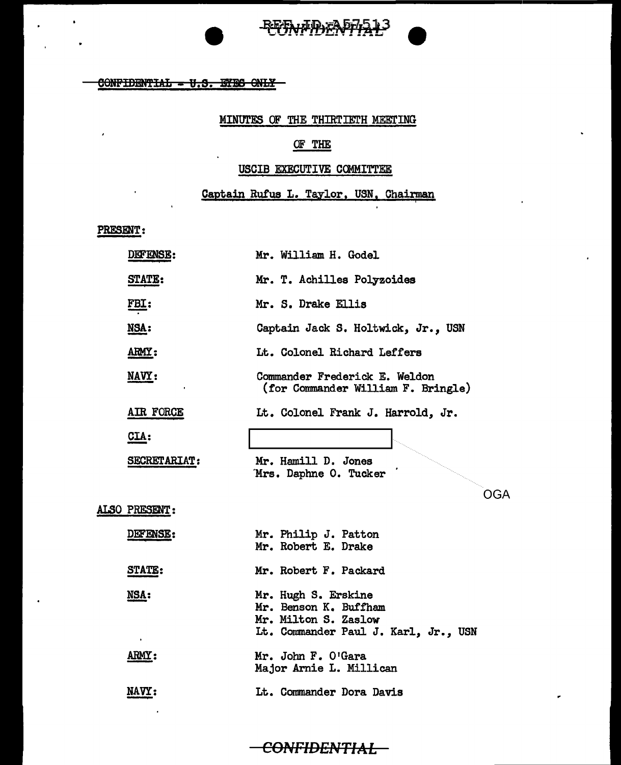



#### $60$ NFIDENTIAL - U.S. EYES ONLY

## MINUTES OF THE THIRTIETH MEETING

## OF THE

#### USCIB EXECUTIVE COMMITTEE

Captain Rufus L. Taylor, USN, Chairman

PRESENT:

 $\cdot$ 

 $\ddot{\phantom{a}}$ 

| <b>DEFENSE:</b>     | Mr. William H. Godel                                                                                         |
|---------------------|--------------------------------------------------------------------------------------------------------------|
| <b>STATE:</b>       | Mr. T. Achilles Polyzoides                                                                                   |
| <u>FBI:</u>         | Mr. S. Drake Ellis                                                                                           |
| NSA:                | Captain Jack S. Holtwick, Jr., USN                                                                           |
| ARMY:               | Lt. Colonel Richard Leffers                                                                                  |
| NAVY:               | Commander Frederick E. Weldon<br>(for Commander William F. Bringle)                                          |
| AIR FORCE           | Lt. Colonel Frank J. Harrold, Jr.                                                                            |
| $CLA$ :             |                                                                                                              |
| <b>SECRETARIAT:</b> | Mr. Hamill D. Jones<br>Mrs. Daphne O. Tucker                                                                 |
|                     | OGA                                                                                                          |
| ALSO PRESENT:       |                                                                                                              |
| <b>DEFENSE:</b>     | Mr. Philip J. Patton<br>Mr. Robert E. Drake                                                                  |
| STATE:              | Mr. Robert F. Packard                                                                                        |
| NSA:                | Mr. Hugh S. Erskine<br>Mr. Benson K. Buffham<br>Mr. Milton S. Zaslow<br>Lt. Commander Paul J. Karl, Jr., USN |
| <b>ARMY:</b>        | Mr. John F. O'Gara<br>Major Arnie L. Millican                                                                |
| NAVY:               | Lt. Commander Dora Davis                                                                                     |
|                     |                                                                                                              |

# CONFIDENTIAL